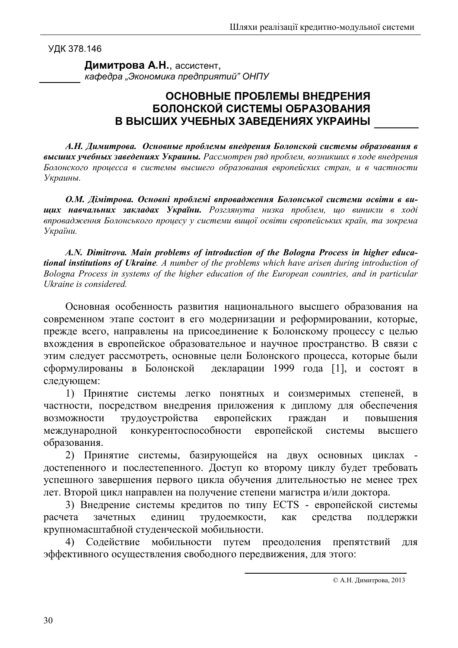УДК 378.146

Димитрова А.Н., ассистент. кафедра "Экономика предприятий" ОНПУ

## ОСНОВНЫЕ ПРОБЛЕМЫ ВНЕДРЕНИЯ БОЛОНСКОЙ СИСТЕМЫ ОБРАЗОВАНИЯ В ВЫСШИХ УЧЕБНЫХ ЗАВЕДЕНИЯХ УКРАИНЫ

А.Н. Димитрова. Основные проблемы внедрения Болонской системы образования в высших учебных заведениях Украины. Рассмотрен ряд проблем, возникших в ходе внедрения Болонского процесса в системы высшего образования европейских стран, и в частности Украины.

О.М. Дімітрова. Основні проблемі впровадження Болонської системи освіти в вищих навчальних закладах України. Розглянута низка проблем, що виникли в ході впровадження Болонського процесу у системи вищої освіти європейських країн, та зокрема України.

A.N. Dimitrova. Main problems of introduction of the Bologna Process in higher educational institutions of Ukraine. A number of the problems which have arisen during introduction of Bologna Process in systems of the higher education of the European countries, and in particular Ukraine is considered.

Основная особенность развития национального высшего образования на современном этапе состоит в его модернизации и реформировании, которые, прежде всего, направлены на присоединение к Болонскому процессу с целью вхождения в европейское образовательное и научное пространство. В связи с этим следует рассмотреть, основные цели Болонского процесса, которые были сформулированы в Болонской декларации 1999 года [1], и состоят в следующем:

1) Принятие системы легко понятных и соизмеримых степеней, в частности, посредством внедрения приложения к диплому для обеспечения трудоустройства европейских возможности граждан  $\mathbf{M}$ повышения конкурентоспособности европейской международной системы высшего образования.

2) Принятие системы, базирующейся на двух основных циклах достепенного и послестепенного. Доступ ко второму циклу будет требовать успешного завершения первого цикла обучения длительностью не менее трех лет. Второй цикл направлен на получение степени магистра и/или доктора.

3) Внедрение системы кредитов по типу ECTS - европейской системы расчета зачетных единиц трудоемкости, как средства поддержки крупномасштабной студенческой мобильности.

4) Содействие мобильности препятствий путем преодоления ДЛЯ эффективного осуществления свободного передвижения, для этого:

<sup>©</sup> А.Н. Димитрова, 2013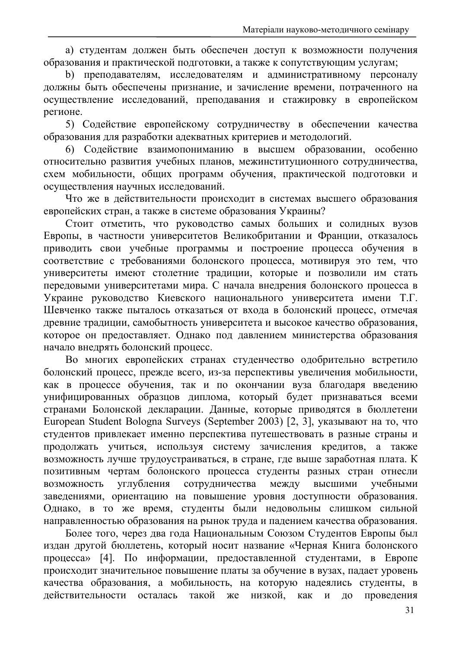а) студентам должен быть обеспечен доступ к возможности получения образования и практической подготовки, а также к сопутствующим услугам;

b) преподавателям, исследователям и административному персоналу должны быть обеспечены признание, и зачисление времени, потраченного на осуществление исследований, преподавания и стажировку в европейском регионе.

5) Содействие европейскому сотрудничеству в обеспечении качества образования для разработки адекватных критериев и методологий.

6) Содействие взаимопониманию в высшем образовании, особенно относительно развития учебных планов, межинституционного сотрудничества, схем мобильности, общих программ обучения, практической подготовки и осуществления научных исследований.

Что же в действительности происходит в системах высшего образования европейских стран, а также в системе образования Украины?

Стоит отметить, что руководство самых больших и солидных вузов Европы, в частности университетов Великобритании и Франции, отказалось приводить свои учебные программы и построение процесса обучения в соответствие с требованиями болонского процесса, мотивируя это тем, что университеты имеют столетние традиции, которые и позволили им стать передовыми университетами мира. С начала внедрения болонского процесса в Украине руководство Киевского национального университета имени Т.Г. Шевченко также пыталось отказаться от входа в болонский процесс, отмечая древние традиции, самобытность университета и высокое качество образования, которое он предоставляет. Однако под давлением министерства образования начало внедрять болонский процесс.

Во многих европейских странах студенчество одобрительно встретило болонский процесс, прежде всего, из-за перспективы увеличения мобильности, как в процессе обучения, так и по окончании вуза благодаря введению унифицированных образцов диплома, который будет признаваться всеми странами Болонской декларации. Данные, которые приводятся в бюллетени European Student Bologna Surveys (September 2003) [2, 3], указывают на то, что студентов привлекает именно перспектива путешествовать в разные страны и продолжать учиться, используя систему зачисления кредитов, а также возможность лучше трудоустраиваться, в стране, где выше заработная плата. К позитивным чертам болонского процесса студенты разных стран отнесли между возможность сотрудничества углубления высшими учебными заведениями, ориентацию на повышение уровня доступности образования. Однако, в то же время, студенты были недовольны слишком сильной направленностью образования на рынок труда и падением качества образования.

Более того, через два года Национальным Союзом Студентов Европы был издан другой бюллетень, который носит название «Черная Книга болонского процесса» [4]. По информации, предоставленной студентами, в Европе происходит значительное повышение платы за обучение в вузах, падает уровень качества образования, а мобильность, на которую надеялись студенты, в действительности осталась такой же низкой, как  $\overline{M}$ проведения ДО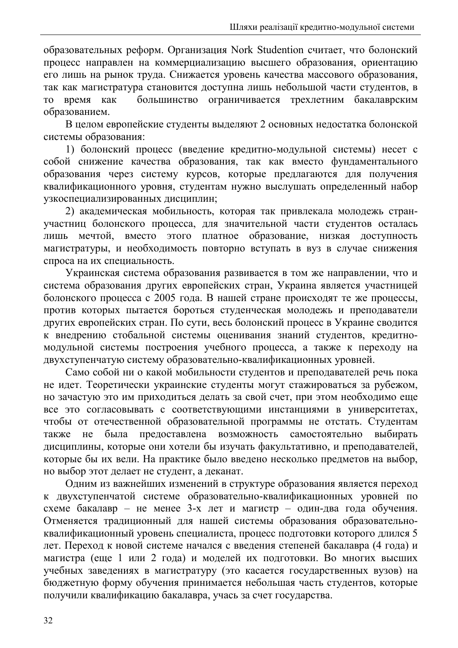образовательных реформ. Организация Nork Studention считает, что болонский процесс направлен на коммерциализацию высшего образования, ориентацию его лишь на рынок труда. Снижается уровень качества массового образования, так как магистратура становится доступна лишь небольшой части студентов, в большинство ограничивается трехлетним бакалаврским время **TO** как образованием.

В целом европейские студенты выделяют 2 основных недостатка болонской системы образования:

1) болонский процесс (введение кредитно-модульной системы) несет с собой снижение качества образования, так как вместо фундаментального образования через систему курсов, которые предлагаются для получения квалификационного уровня, студентам нужно выслушать определенный набор узкоспециализированных дисциплин;

2) академическая мобильность, которая так привлекала молодежь странучастниц болонского процесса, для значительной части студентов осталась мечтой, вместо этого платное образование, низкая доступность ЛИШЬ магистратуры, и необходимость повторно вступать в вуз в случае снижения спроса на их специальность.

Украинская система образования развивается в том же направлении, что и система образования других европейских стран. Украина является участницей болонского процесса с 2005 года. В нашей стране происходят те же процессы, против которых пытается бороться студенческая молодежь и преподаватели других европейских стран. По сути, весь болонский процесс в Украине сводится к внедрению стобальной системы оценивания знаний студентов, кредитномодульной системы построения учебного процесса, а также к переходу на двухступенчатую систему образовательно-квалификационных уровней.

Само собой ни о какой мобильности студентов и преподавателей речь пока не идет. Теоретически украинские студенты могут стажироваться за рубежом, но зачастую это им приходиться делать за свой счет, при этом необходимо еще все это согласовывать с соответствующими инстанциями в университетах, чтобы от отечественной образовательной программы не отстать. Студентам предоставлена возможность самостоятельно He была выбирать также дисциплины, которые они хотели бы изучать факультативно, и преподавателей, которые бы их вели. На практике было введено несколько предметов на выбор, но выбор этот делает не студент, а деканат.

Одним из важнейших изменений в структуре образования является переход к двухступенчатой системе образовательно-квалификационных уровней по схеме бакалавр – не менее 3-х лет и магистр – один-два года обучения. Отменяется традиционный для нашей системы образования образовательноквалификационный уровень специалиста, процесс подготовки которого длился 5 лет. Переход к новой системе начался с введения степеней бакалавра (4 года) и магистра (еще 1 или 2 года) и моделей их подготовки. Во многих высших учебных заведениях в магистратуру (это касается государственных вузов) на бюджетную форму обучения принимается небольшая часть студентов, которые получили квалификацию бакалавра, учась за счет государства.